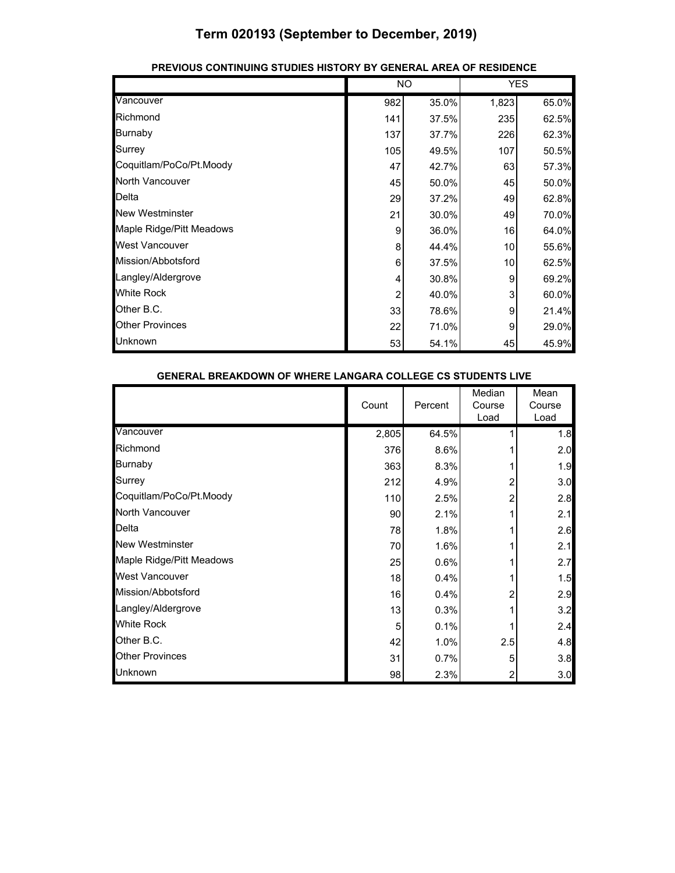|                          |     | NO.   |                 | <b>YES</b> |
|--------------------------|-----|-------|-----------------|------------|
| Vancouver                | 982 | 35.0% | 1,823           | 65.0%      |
| Richmond                 | 141 | 37.5% | 235             | 62.5%      |
| <b>Burnaby</b>           | 137 | 37.7% | 226             | 62.3%      |
| Surrey                   | 105 | 49.5% | 107             | 50.5%      |
| Coquitlam/PoCo/Pt.Moody  | 47  | 42.7% | 63              | 57.3%      |
| North Vancouver          | 45  | 50.0% | 45              | 50.0%      |
| Delta                    | 29  | 37.2% | 49              | 62.8%      |
| <b>New Westminster</b>   | 21  | 30.0% | 49              | 70.0%      |
| Maple Ridge/Pitt Meadows | 9   | 36.0% | 16              | 64.0%      |
| <b>West Vancouver</b>    | 8   | 44.4% | 10 <sup>1</sup> | 55.6%      |
| Mission/Abbotsford       | 6   | 37.5% | 10 <sup>1</sup> | 62.5%      |
| Langley/Aldergrove       | 4   | 30.8% | 9               | 69.2%      |
| <b>White Rock</b>        | 2   | 40.0% | 3               | 60.0%      |
| Other B.C.               | 33  | 78.6% | 9               | 21.4%      |
| <b>Other Provinces</b>   | 22  | 71.0% | 9               | 29.0%      |
| Unknown                  | 53  | 54.1% | 45              | 45.9%      |

#### **PREVIOUS CONTINUING STUDIES HISTORY BY GENERAL AREA OF RESIDENCE**

| <b>GENERAL BREAKDOWN OF WHERE LANGARA COLLEGE CS STUDENTS LIVE</b> |       |         |      |                          |                        |
|--------------------------------------------------------------------|-------|---------|------|--------------------------|------------------------|
|                                                                    | Count | Percent |      | Median<br>Course<br>Load | Mean<br>Course<br>Load |
| Vancouver                                                          | 2,805 | 64.5%   |      |                          | 1.8                    |
| Richmond                                                           |       | 376     | 8.6% |                          | 2.0                    |
| Burnaby                                                            |       | 363     | 8.3% |                          | 1.9                    |
| Surrey                                                             |       | 212     | 4.9% | 2                        | 3.0                    |
| Coquitlam/PoCo/Pt.Moody                                            |       | 110     | 2.5% | 2                        | 2.8                    |
| North Vancouver                                                    |       | 90      | 2.1% |                          | 2.1                    |
| Delta                                                              |       | 78      | 1.8% |                          | 2.6                    |
| <b>New Westminster</b>                                             |       | 70      | 1.6% |                          | 2.1                    |
| Maple Ridge/Pitt Meadows                                           |       | 25      | 0.6% |                          | 2.7                    |
| <b>West Vancouver</b>                                              |       | 18      | 0.4% |                          | 1.5                    |
| Mission/Abbotsford                                                 |       | 16      | 0.4% | 2                        | 2.9                    |
| Langley/Aldergrove                                                 |       | 13      | 0.3% |                          | 3.2                    |
| <b>White Rock</b>                                                  |       | 5       | 0.1% |                          | 2.4                    |
| Other B.C.                                                         |       | 42      | 1.0% | 2.5                      | 4.8                    |
| <b>Other Provinces</b>                                             |       | 31      | 0.7% | 5                        | 3.8                    |
| <b>Unknown</b>                                                     |       | 98      | 2.3% | 2                        | 3.0                    |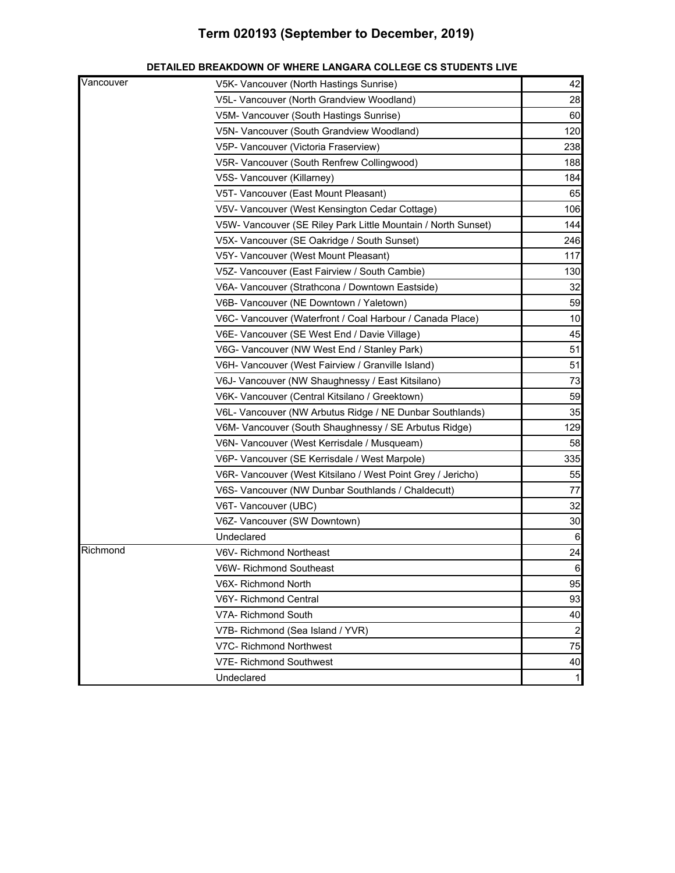| Vancouver | V5K- Vancouver (North Hastings Sunrise)                       | 42              |
|-----------|---------------------------------------------------------------|-----------------|
|           | V5L- Vancouver (North Grandview Woodland)                     | 28              |
|           | V5M- Vancouver (South Hastings Sunrise)                       | 60              |
|           | V5N- Vancouver (South Grandview Woodland)                     | 120             |
|           | V5P- Vancouver (Victoria Fraserview)                          | 238             |
|           | V5R- Vancouver (South Renfrew Collingwood)                    | 188             |
|           | V5S- Vancouver (Killarney)                                    | 184             |
|           | V5T- Vancouver (East Mount Pleasant)                          | 65              |
|           | V5V- Vancouver (West Kensington Cedar Cottage)                | 106             |
|           | V5W- Vancouver (SE Riley Park Little Mountain / North Sunset) | 144             |
|           | V5X- Vancouver (SE Oakridge / South Sunset)                   | 246             |
|           | V5Y- Vancouver (West Mount Pleasant)                          | 117             |
|           | V5Z- Vancouver (East Fairview / South Cambie)                 | 130             |
|           | V6A- Vancouver (Strathcona / Downtown Eastside)               | 32              |
|           | V6B- Vancouver (NE Downtown / Yaletown)                       | 59              |
|           | V6C- Vancouver (Waterfront / Coal Harbour / Canada Place)     | 10              |
|           | V6E- Vancouver (SE West End / Davie Village)                  | 45              |
|           | V6G- Vancouver (NW West End / Stanley Park)                   | 51              |
|           | V6H- Vancouver (West Fairview / Granville Island)             | 51              |
|           | V6J- Vancouver (NW Shaughnessy / East Kitsilano)              | 73              |
|           | V6K- Vancouver (Central Kitsilano / Greektown)                | 59              |
|           | V6L- Vancouver (NW Arbutus Ridge / NE Dunbar Southlands)      | 35              |
|           | V6M- Vancouver (South Shaughnessy / SE Arbutus Ridge)         | 129             |
|           | V6N- Vancouver (West Kerrisdale / Musqueam)                   | 58              |
|           | V6P- Vancouver (SE Kerrisdale / West Marpole)                 | 335             |
|           | V6R- Vancouver (West Kitsilano / West Point Grey / Jericho)   | 55              |
|           | V6S- Vancouver (NW Dunbar Southlands / Chaldecutt)            | 77              |
|           | V6T- Vancouver (UBC)                                          | 32              |
|           | V6Z- Vancouver (SW Downtown)                                  | 30              |
|           | Undeclared                                                    | $6\phantom{.}6$ |
| Richmond  | V6V- Richmond Northeast                                       | 24              |
|           | V6W- Richmond Southeast                                       | $6 \square$     |
|           | V6X- Richmond North                                           | 95              |
|           | V6Y- Richmond Central                                         | 93              |
|           | V7A- Richmond South                                           | 40              |
|           | V7B- Richmond (Sea Island / YVR)                              | $\overline{a}$  |
|           | V7C- Richmond Northwest                                       | 75              |
|           | <b>V7E- Richmond Southwest</b>                                | 40              |
|           | Undeclared                                                    | 11              |

#### **DETAILED BREAKDOWN OF WHERE LANGARA COLLEGE CS STUDENTS LIVE**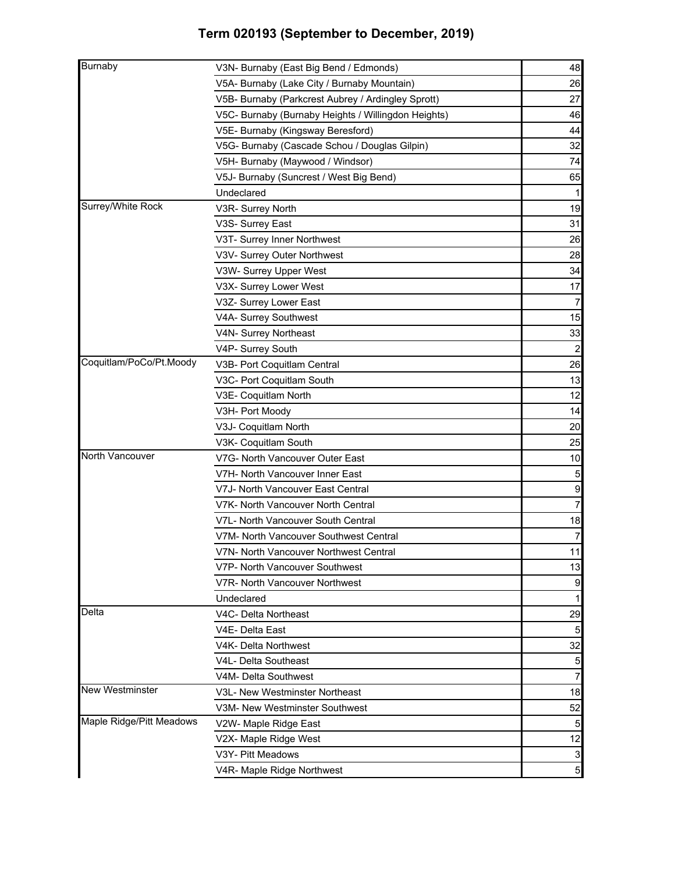| V3N- Burnaby (East Big Bend / Edmonds)<br>V5A- Burnaby (Lake City / Burnaby Mountain)<br>27<br>V5B- Burnaby (Parkcrest Aubrey / Ardingley Sprott)<br>V5C- Burnaby (Burnaby Heights / Willingdon Heights)<br>V5E- Burnaby (Kingsway Beresford)<br>V5G- Burnaby (Cascade Schou / Douglas Gilpin)<br>32<br>74<br>V5H- Burnaby (Maywood / Windsor)<br>V5J- Burnaby (Suncrest / West Big Bend)<br>65<br>Undeclared<br>Surrey/White Rock<br>19<br>V3R- Surrey North<br>31<br>V3S- Surrey East<br>26<br>V3T- Surrey Inner Northwest<br>28<br>V3V- Surrey Outer Northwest<br>34<br>V3W- Surrey Upper West<br>17<br>V3X- Surrey Lower West<br>V3Z- Surrey Lower East<br>15<br>V4A- Surrey Southwest<br>33<br>V4N- Surrey Northeast<br>V4P- Surrey South<br>2<br>Coquitlam/PoCo/Pt.Moody<br>V3B- Port Coquitlam Central<br>26<br>13<br>V3C- Port Coquitlam South<br>12<br>V3E- Coquitlam North<br>V3H- Port Moody<br>14<br>20<br>V3J- Coquitlam North<br>25<br>V3K- Coquitlam South<br>V7G- North Vancouver Outer East<br>V7H- North Vancouver Inner East<br>V7J- North Vancouver East Central<br>9<br>7<br>V7K- North Vancouver North Central<br>V7L- North Vancouver South Central<br>$\overline{7}$<br>V7M- North Vancouver Southwest Central<br>11<br>V7N- North Vancouver Northwest Central<br>V7P- North Vancouver Southwest<br>V7R- North Vancouver Northwest<br>Undeclared<br>1<br>Delta<br>V4C- Delta Northeast<br>5<br>V4E- Delta East<br>32<br>V4K- Delta Northwest<br>V4L- Delta Southeast<br>$\overline{7}$<br>V4M- Delta Southwest<br>V3L- New Westminster Northeast<br>V3M- New Westminster Southwest<br>V2W- Maple Ridge East<br>V2X- Maple Ridge West<br>V3Y- Pitt Meadows<br>V4R- Maple Ridge Northwest |                          |                 |
|-----------------------------------------------------------------------------------------------------------------------------------------------------------------------------------------------------------------------------------------------------------------------------------------------------------------------------------------------------------------------------------------------------------------------------------------------------------------------------------------------------------------------------------------------------------------------------------------------------------------------------------------------------------------------------------------------------------------------------------------------------------------------------------------------------------------------------------------------------------------------------------------------------------------------------------------------------------------------------------------------------------------------------------------------------------------------------------------------------------------------------------------------------------------------------------------------------------------------------------------------------------------------------------------------------------------------------------------------------------------------------------------------------------------------------------------------------------------------------------------------------------------------------------------------------------------------------------------------------------------------------------------------------------------------------------------------------------------|--------------------------|-----------------|
|                                                                                                                                                                                                                                                                                                                                                                                                                                                                                                                                                                                                                                                                                                                                                                                                                                                                                                                                                                                                                                                                                                                                                                                                                                                                                                                                                                                                                                                                                                                                                                                                                                                                                                                 | <b>Burnaby</b>           | 48              |
|                                                                                                                                                                                                                                                                                                                                                                                                                                                                                                                                                                                                                                                                                                                                                                                                                                                                                                                                                                                                                                                                                                                                                                                                                                                                                                                                                                                                                                                                                                                                                                                                                                                                                                                 |                          | 26              |
|                                                                                                                                                                                                                                                                                                                                                                                                                                                                                                                                                                                                                                                                                                                                                                                                                                                                                                                                                                                                                                                                                                                                                                                                                                                                                                                                                                                                                                                                                                                                                                                                                                                                                                                 |                          |                 |
|                                                                                                                                                                                                                                                                                                                                                                                                                                                                                                                                                                                                                                                                                                                                                                                                                                                                                                                                                                                                                                                                                                                                                                                                                                                                                                                                                                                                                                                                                                                                                                                                                                                                                                                 |                          | 46              |
|                                                                                                                                                                                                                                                                                                                                                                                                                                                                                                                                                                                                                                                                                                                                                                                                                                                                                                                                                                                                                                                                                                                                                                                                                                                                                                                                                                                                                                                                                                                                                                                                                                                                                                                 |                          | 44              |
|                                                                                                                                                                                                                                                                                                                                                                                                                                                                                                                                                                                                                                                                                                                                                                                                                                                                                                                                                                                                                                                                                                                                                                                                                                                                                                                                                                                                                                                                                                                                                                                                                                                                                                                 |                          |                 |
|                                                                                                                                                                                                                                                                                                                                                                                                                                                                                                                                                                                                                                                                                                                                                                                                                                                                                                                                                                                                                                                                                                                                                                                                                                                                                                                                                                                                                                                                                                                                                                                                                                                                                                                 |                          |                 |
|                                                                                                                                                                                                                                                                                                                                                                                                                                                                                                                                                                                                                                                                                                                                                                                                                                                                                                                                                                                                                                                                                                                                                                                                                                                                                                                                                                                                                                                                                                                                                                                                                                                                                                                 |                          |                 |
|                                                                                                                                                                                                                                                                                                                                                                                                                                                                                                                                                                                                                                                                                                                                                                                                                                                                                                                                                                                                                                                                                                                                                                                                                                                                                                                                                                                                                                                                                                                                                                                                                                                                                                                 |                          |                 |
|                                                                                                                                                                                                                                                                                                                                                                                                                                                                                                                                                                                                                                                                                                                                                                                                                                                                                                                                                                                                                                                                                                                                                                                                                                                                                                                                                                                                                                                                                                                                                                                                                                                                                                                 |                          |                 |
|                                                                                                                                                                                                                                                                                                                                                                                                                                                                                                                                                                                                                                                                                                                                                                                                                                                                                                                                                                                                                                                                                                                                                                                                                                                                                                                                                                                                                                                                                                                                                                                                                                                                                                                 |                          |                 |
|                                                                                                                                                                                                                                                                                                                                                                                                                                                                                                                                                                                                                                                                                                                                                                                                                                                                                                                                                                                                                                                                                                                                                                                                                                                                                                                                                                                                                                                                                                                                                                                                                                                                                                                 |                          |                 |
|                                                                                                                                                                                                                                                                                                                                                                                                                                                                                                                                                                                                                                                                                                                                                                                                                                                                                                                                                                                                                                                                                                                                                                                                                                                                                                                                                                                                                                                                                                                                                                                                                                                                                                                 |                          |                 |
|                                                                                                                                                                                                                                                                                                                                                                                                                                                                                                                                                                                                                                                                                                                                                                                                                                                                                                                                                                                                                                                                                                                                                                                                                                                                                                                                                                                                                                                                                                                                                                                                                                                                                                                 |                          |                 |
|                                                                                                                                                                                                                                                                                                                                                                                                                                                                                                                                                                                                                                                                                                                                                                                                                                                                                                                                                                                                                                                                                                                                                                                                                                                                                                                                                                                                                                                                                                                                                                                                                                                                                                                 |                          |                 |
|                                                                                                                                                                                                                                                                                                                                                                                                                                                                                                                                                                                                                                                                                                                                                                                                                                                                                                                                                                                                                                                                                                                                                                                                                                                                                                                                                                                                                                                                                                                                                                                                                                                                                                                 |                          |                 |
|                                                                                                                                                                                                                                                                                                                                                                                                                                                                                                                                                                                                                                                                                                                                                                                                                                                                                                                                                                                                                                                                                                                                                                                                                                                                                                                                                                                                                                                                                                                                                                                                                                                                                                                 |                          |                 |
|                                                                                                                                                                                                                                                                                                                                                                                                                                                                                                                                                                                                                                                                                                                                                                                                                                                                                                                                                                                                                                                                                                                                                                                                                                                                                                                                                                                                                                                                                                                                                                                                                                                                                                                 |                          |                 |
|                                                                                                                                                                                                                                                                                                                                                                                                                                                                                                                                                                                                                                                                                                                                                                                                                                                                                                                                                                                                                                                                                                                                                                                                                                                                                                                                                                                                                                                                                                                                                                                                                                                                                                                 |                          |                 |
|                                                                                                                                                                                                                                                                                                                                                                                                                                                                                                                                                                                                                                                                                                                                                                                                                                                                                                                                                                                                                                                                                                                                                                                                                                                                                                                                                                                                                                                                                                                                                                                                                                                                                                                 |                          |                 |
|                                                                                                                                                                                                                                                                                                                                                                                                                                                                                                                                                                                                                                                                                                                                                                                                                                                                                                                                                                                                                                                                                                                                                                                                                                                                                                                                                                                                                                                                                                                                                                                                                                                                                                                 |                          |                 |
|                                                                                                                                                                                                                                                                                                                                                                                                                                                                                                                                                                                                                                                                                                                                                                                                                                                                                                                                                                                                                                                                                                                                                                                                                                                                                                                                                                                                                                                                                                                                                                                                                                                                                                                 |                          |                 |
|                                                                                                                                                                                                                                                                                                                                                                                                                                                                                                                                                                                                                                                                                                                                                                                                                                                                                                                                                                                                                                                                                                                                                                                                                                                                                                                                                                                                                                                                                                                                                                                                                                                                                                                 |                          |                 |
|                                                                                                                                                                                                                                                                                                                                                                                                                                                                                                                                                                                                                                                                                                                                                                                                                                                                                                                                                                                                                                                                                                                                                                                                                                                                                                                                                                                                                                                                                                                                                                                                                                                                                                                 |                          |                 |
|                                                                                                                                                                                                                                                                                                                                                                                                                                                                                                                                                                                                                                                                                                                                                                                                                                                                                                                                                                                                                                                                                                                                                                                                                                                                                                                                                                                                                                                                                                                                                                                                                                                                                                                 |                          |                 |
|                                                                                                                                                                                                                                                                                                                                                                                                                                                                                                                                                                                                                                                                                                                                                                                                                                                                                                                                                                                                                                                                                                                                                                                                                                                                                                                                                                                                                                                                                                                                                                                                                                                                                                                 | North Vancouver          | 10              |
|                                                                                                                                                                                                                                                                                                                                                                                                                                                                                                                                                                                                                                                                                                                                                                                                                                                                                                                                                                                                                                                                                                                                                                                                                                                                                                                                                                                                                                                                                                                                                                                                                                                                                                                 |                          |                 |
|                                                                                                                                                                                                                                                                                                                                                                                                                                                                                                                                                                                                                                                                                                                                                                                                                                                                                                                                                                                                                                                                                                                                                                                                                                                                                                                                                                                                                                                                                                                                                                                                                                                                                                                 |                          |                 |
|                                                                                                                                                                                                                                                                                                                                                                                                                                                                                                                                                                                                                                                                                                                                                                                                                                                                                                                                                                                                                                                                                                                                                                                                                                                                                                                                                                                                                                                                                                                                                                                                                                                                                                                 |                          |                 |
|                                                                                                                                                                                                                                                                                                                                                                                                                                                                                                                                                                                                                                                                                                                                                                                                                                                                                                                                                                                                                                                                                                                                                                                                                                                                                                                                                                                                                                                                                                                                                                                                                                                                                                                 |                          | 18              |
|                                                                                                                                                                                                                                                                                                                                                                                                                                                                                                                                                                                                                                                                                                                                                                                                                                                                                                                                                                                                                                                                                                                                                                                                                                                                                                                                                                                                                                                                                                                                                                                                                                                                                                                 |                          |                 |
|                                                                                                                                                                                                                                                                                                                                                                                                                                                                                                                                                                                                                                                                                                                                                                                                                                                                                                                                                                                                                                                                                                                                                                                                                                                                                                                                                                                                                                                                                                                                                                                                                                                                                                                 |                          |                 |
|                                                                                                                                                                                                                                                                                                                                                                                                                                                                                                                                                                                                                                                                                                                                                                                                                                                                                                                                                                                                                                                                                                                                                                                                                                                                                                                                                                                                                                                                                                                                                                                                                                                                                                                 |                          | 13              |
|                                                                                                                                                                                                                                                                                                                                                                                                                                                                                                                                                                                                                                                                                                                                                                                                                                                                                                                                                                                                                                                                                                                                                                                                                                                                                                                                                                                                                                                                                                                                                                                                                                                                                                                 |                          | 9               |
|                                                                                                                                                                                                                                                                                                                                                                                                                                                                                                                                                                                                                                                                                                                                                                                                                                                                                                                                                                                                                                                                                                                                                                                                                                                                                                                                                                                                                                                                                                                                                                                                                                                                                                                 |                          |                 |
|                                                                                                                                                                                                                                                                                                                                                                                                                                                                                                                                                                                                                                                                                                                                                                                                                                                                                                                                                                                                                                                                                                                                                                                                                                                                                                                                                                                                                                                                                                                                                                                                                                                                                                                 |                          | 29              |
|                                                                                                                                                                                                                                                                                                                                                                                                                                                                                                                                                                                                                                                                                                                                                                                                                                                                                                                                                                                                                                                                                                                                                                                                                                                                                                                                                                                                                                                                                                                                                                                                                                                                                                                 |                          |                 |
|                                                                                                                                                                                                                                                                                                                                                                                                                                                                                                                                                                                                                                                                                                                                                                                                                                                                                                                                                                                                                                                                                                                                                                                                                                                                                                                                                                                                                                                                                                                                                                                                                                                                                                                 |                          |                 |
|                                                                                                                                                                                                                                                                                                                                                                                                                                                                                                                                                                                                                                                                                                                                                                                                                                                                                                                                                                                                                                                                                                                                                                                                                                                                                                                                                                                                                                                                                                                                                                                                                                                                                                                 |                          | 5               |
|                                                                                                                                                                                                                                                                                                                                                                                                                                                                                                                                                                                                                                                                                                                                                                                                                                                                                                                                                                                                                                                                                                                                                                                                                                                                                                                                                                                                                                                                                                                                                                                                                                                                                                                 |                          |                 |
|                                                                                                                                                                                                                                                                                                                                                                                                                                                                                                                                                                                                                                                                                                                                                                                                                                                                                                                                                                                                                                                                                                                                                                                                                                                                                                                                                                                                                                                                                                                                                                                                                                                                                                                 | <b>New Westminster</b>   | 18              |
|                                                                                                                                                                                                                                                                                                                                                                                                                                                                                                                                                                                                                                                                                                                                                                                                                                                                                                                                                                                                                                                                                                                                                                                                                                                                                                                                                                                                                                                                                                                                                                                                                                                                                                                 |                          | 52              |
|                                                                                                                                                                                                                                                                                                                                                                                                                                                                                                                                                                                                                                                                                                                                                                                                                                                                                                                                                                                                                                                                                                                                                                                                                                                                                                                                                                                                                                                                                                                                                                                                                                                                                                                 | Maple Ridge/Pitt Meadows | 5               |
|                                                                                                                                                                                                                                                                                                                                                                                                                                                                                                                                                                                                                                                                                                                                                                                                                                                                                                                                                                                                                                                                                                                                                                                                                                                                                                                                                                                                                                                                                                                                                                                                                                                                                                                 |                          | 12              |
|                                                                                                                                                                                                                                                                                                                                                                                                                                                                                                                                                                                                                                                                                                                                                                                                                                                                                                                                                                                                                                                                                                                                                                                                                                                                                                                                                                                                                                                                                                                                                                                                                                                                                                                 |                          | $\mathbf{3}$    |
|                                                                                                                                                                                                                                                                                                                                                                                                                                                                                                                                                                                                                                                                                                                                                                                                                                                                                                                                                                                                                                                                                                                                                                                                                                                                                                                                                                                                                                                                                                                                                                                                                                                                                                                 |                          | $5\phantom{.0}$ |